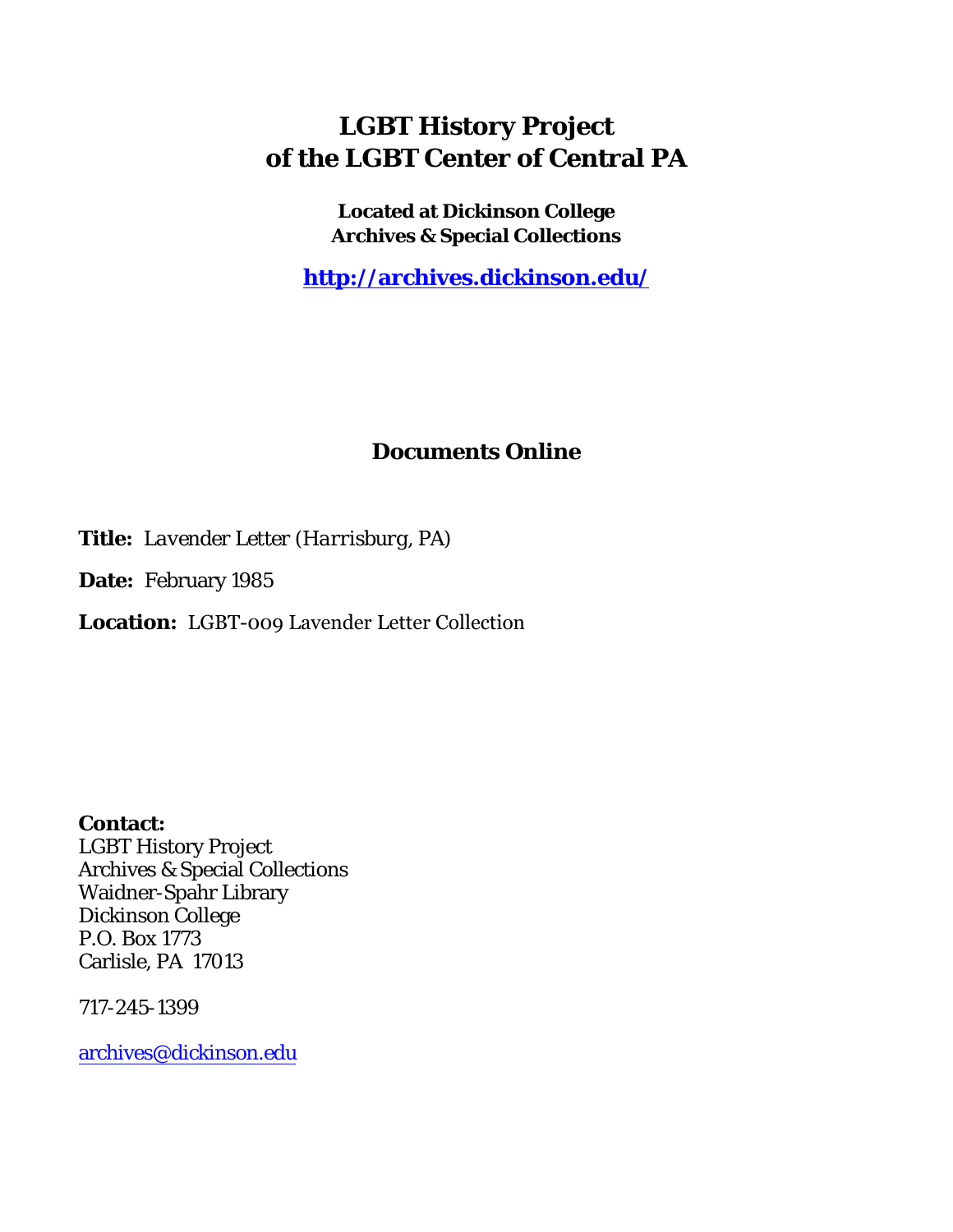## **LGBT History Project of the LGBT Center of Central PA**

**Located at Dickinson College Archives & Special Collections**

**<http://archives.dickinson.edu/>**

## **Documents Online**

**Title:** *Lavender Letter (Harrisburg, PA)*

**Date:** February 1985

**Location:** LGBT-009 Lavender Letter Collection

**Contact:**  LGBT History Project Archives & Special Collections Waidner-Spahr Library Dickinson College P.O. Box 1773 Carlisle, PA 17013

717-245-1399

[archives@dickinson.edu](mailto:archives@dickinson.edu)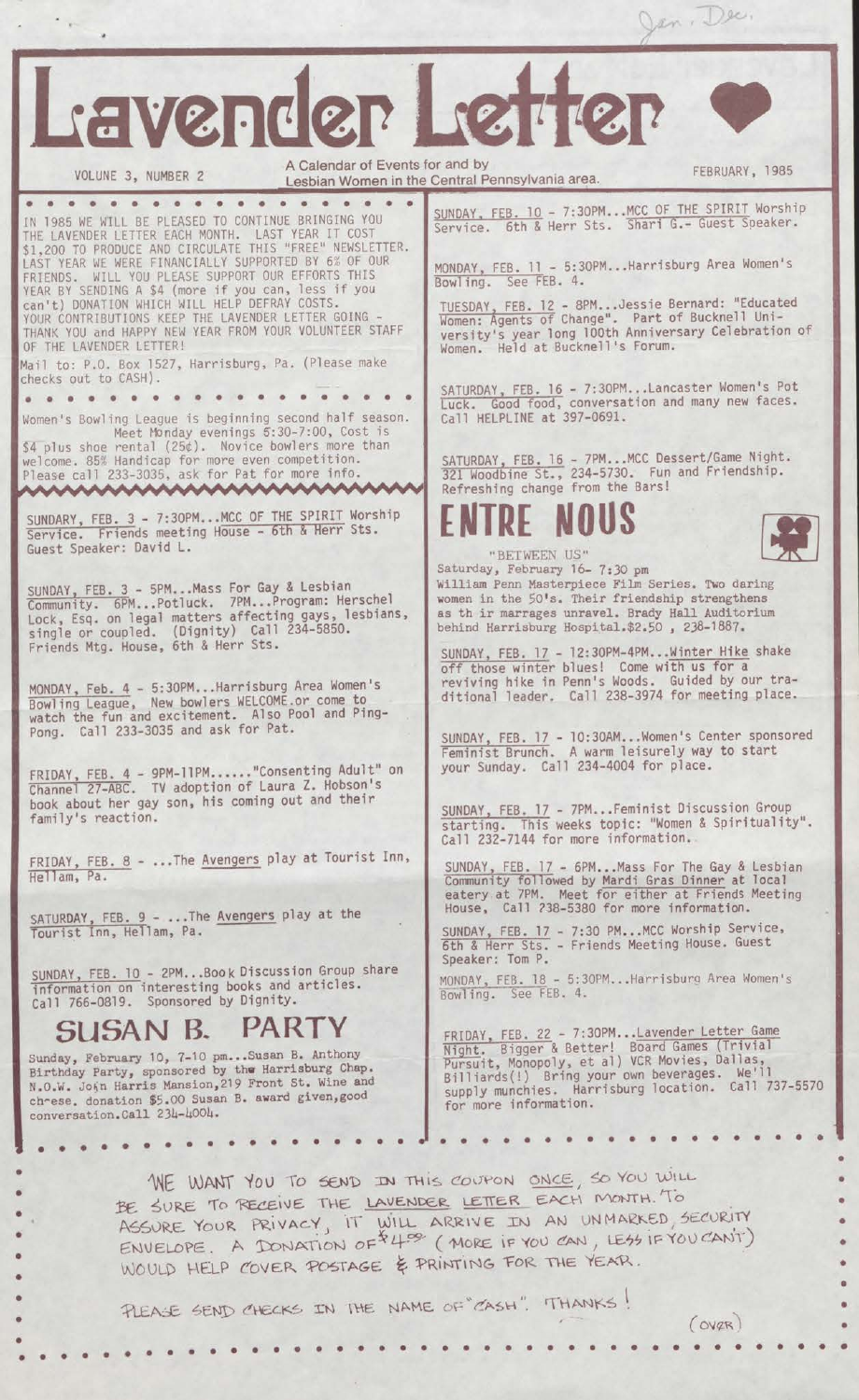